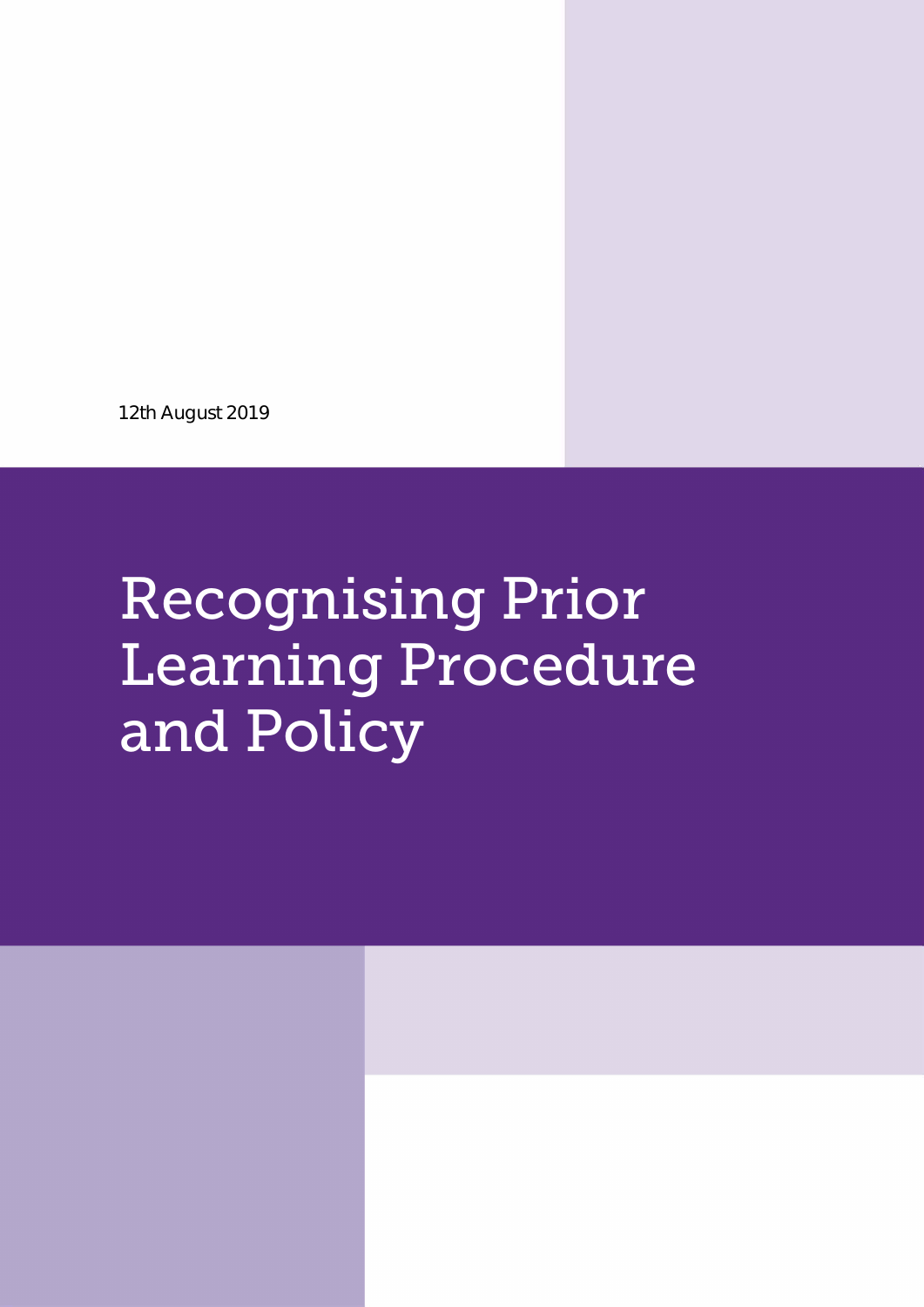12th August 2019

# **Recognising Prior Learning Procedure** and Policy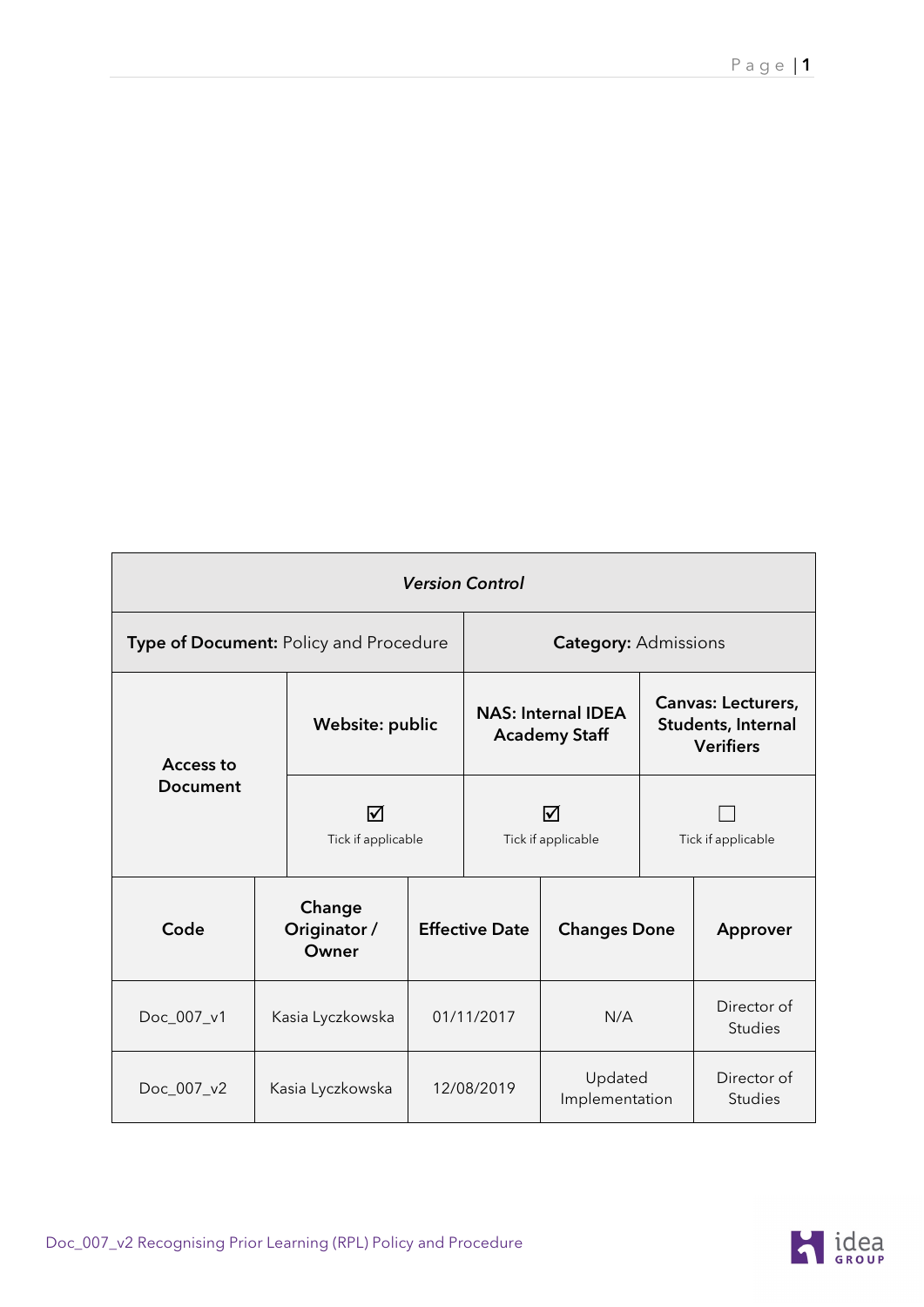| <b>Version Control</b>                        |  |                                 |                       |                                                   |                           |                                                                     |                               |  |
|-----------------------------------------------|--|---------------------------------|-----------------------|---------------------------------------------------|---------------------------|---------------------------------------------------------------------|-------------------------------|--|
| <b>Type of Document: Policy and Procedure</b> |  |                                 |                       | <b>Category: Admissions</b>                       |                           |                                                                     |                               |  |
| Access to                                     |  | Website: public                 |                       | <b>NAS: Internal IDEA</b><br><b>Academy Staff</b> |                           | <b>Canvas: Lecturers,</b><br>Students, Internal<br><b>Verifiers</b> |                               |  |
| <b>Document</b>                               |  | IМ<br>Tick if applicable        |                       | M<br>Tick if applicable                           |                           | Tick if applicable                                                  |                               |  |
| Code                                          |  | Change<br>Originator /<br>Owner | <b>Effective Date</b> |                                                   | <b>Changes Done</b>       |                                                                     | Approver                      |  |
| Doc_007_v1                                    |  | Kasia Lyczkowska                | 01/11/2017            |                                                   | N/A                       |                                                                     | Director of<br><b>Studies</b> |  |
| Doc_007_v2                                    |  | Kasia Lyczkowska                | 12/08/2019            |                                                   | Updated<br>Implementation |                                                                     | Director of<br><b>Studies</b> |  |



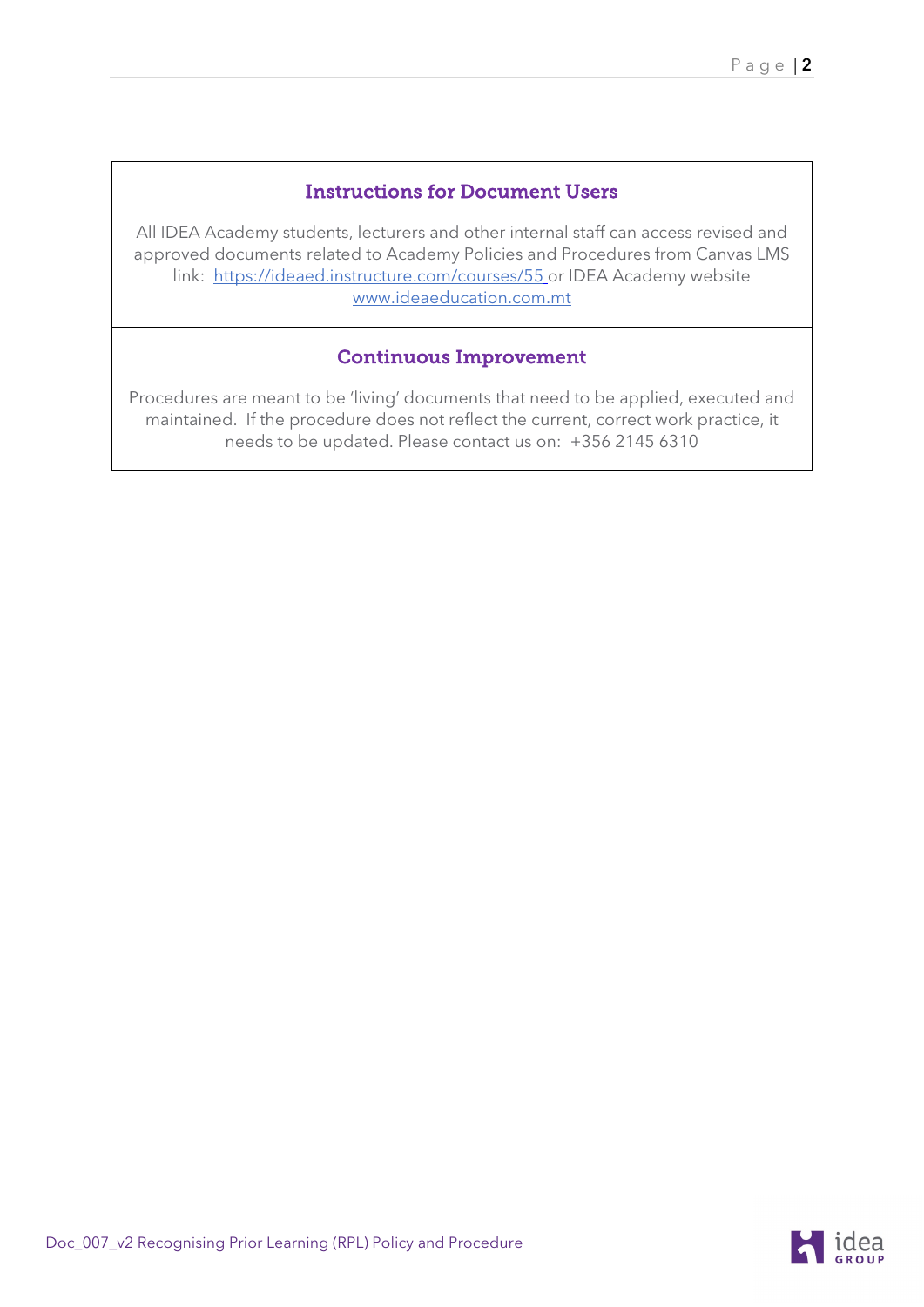#### Instructions for Document Users

All IDEA Academy students, lecturers and other internal staff can access revised and approved documents related to Academy Policies and Procedures from Canvas LMS link: <https://ideaed.instructure.com/courses/55> or IDEA Academy website [www.ideaeducation.com.mt](http://www.ideaeducation.com.mt/)

#### Continuous Improvement

Procedures are meant to be 'living' documents that need to be applied, executed and maintained. If the procedure does not reflect the current, correct work practice, it needs to be updated. Please contact us on: +356 2145 6310

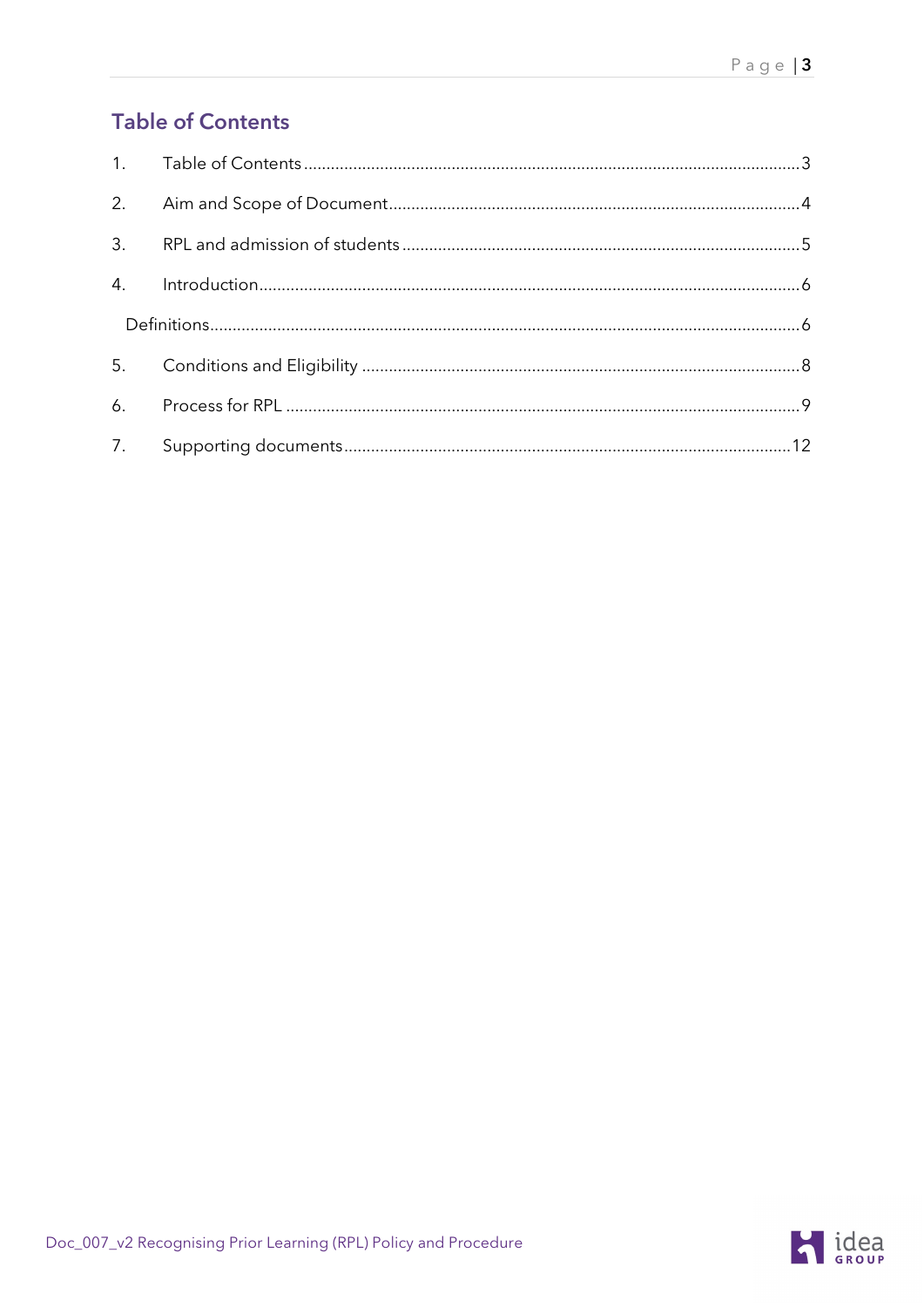## <span id="page-3-0"></span>**Table of Contents**

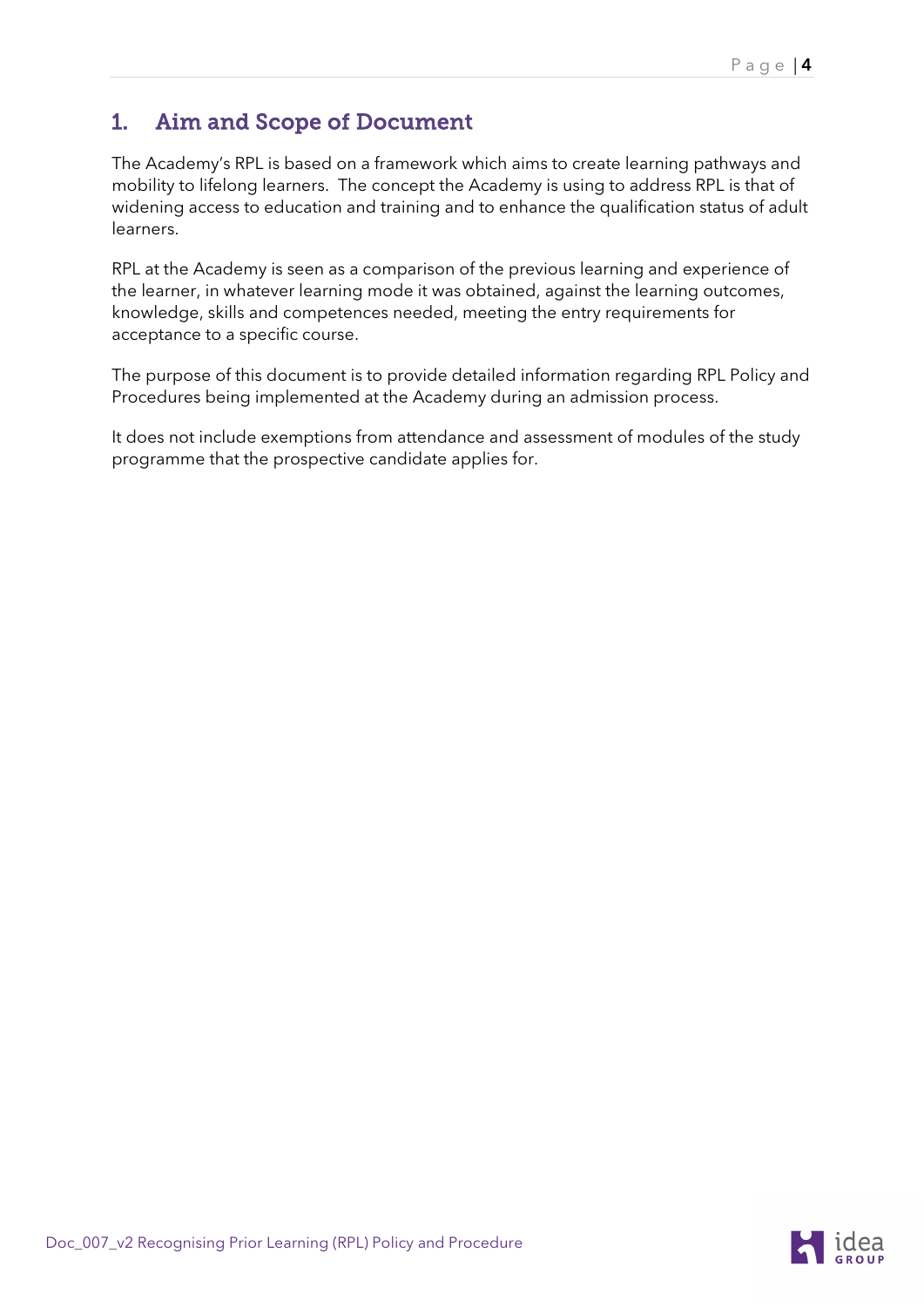## <span id="page-4-0"></span>1. Aim and Scope of Document

The Academy's RPL is based on a framework which aims to create learning pathways and mobility to lifelong learners. The concept the Academy is using to address RPL is that of widening access to education and training and to enhance the qualification status of adult learners.

RPL at the Academy is seen as a comparison of the previous learning and experience of the learner, in whatever learning mode it was obtained, against the learning outcomes, knowledge, skills and competences needed, meeting the entry requirements for acceptance to a specific course.

The purpose of this document is to provide detailed information regarding RPL Policy and Procedures being implemented at the Academy during an admission process.

It does not include exemptions from attendance and assessment of modules of the study programme that the prospective candidate applies for.

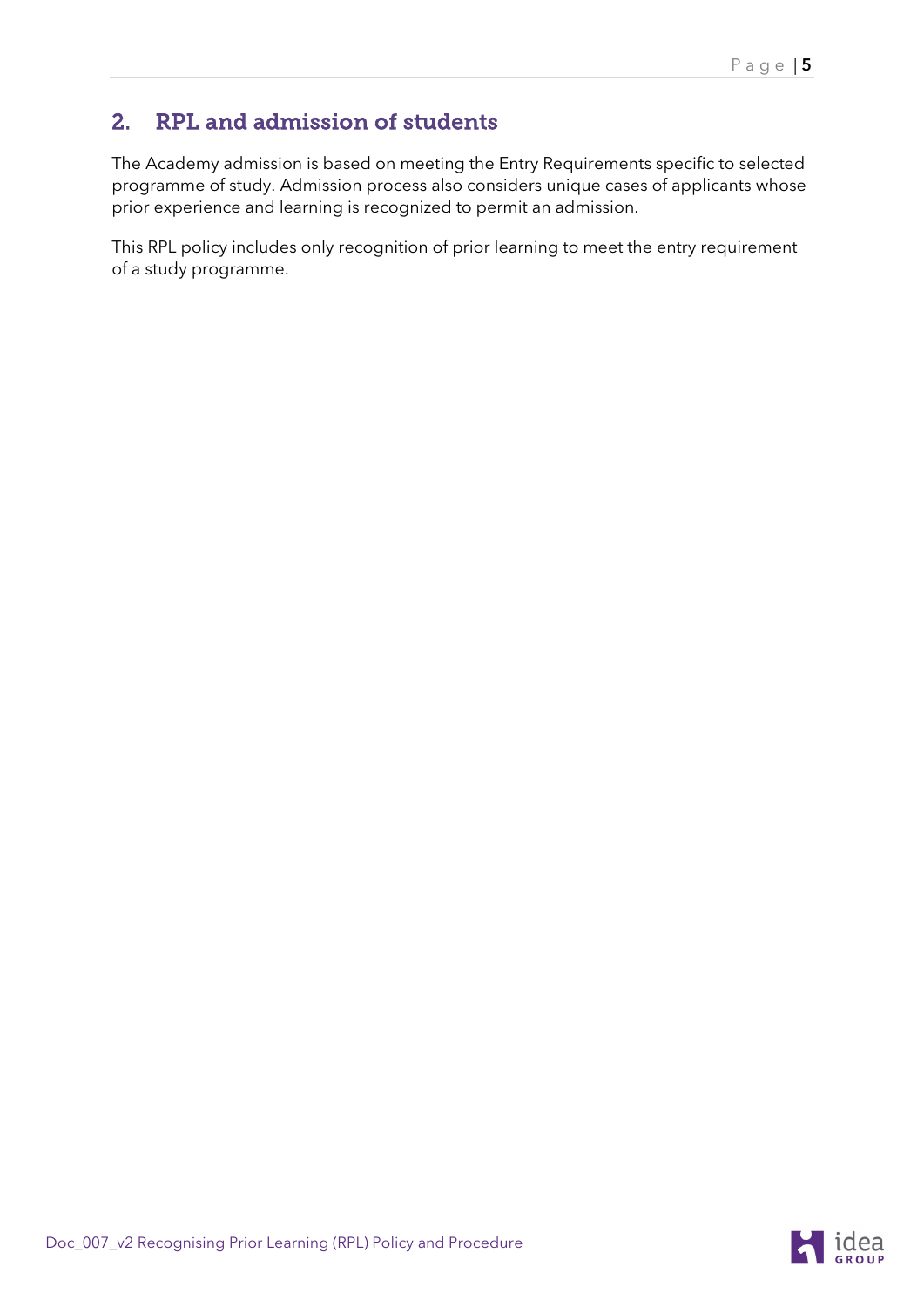## <span id="page-5-0"></span>2. RPL and admission of students

The Academy admission is based on meeting the Entry Requirements specific to selected programme of study. Admission process also considers unique cases of applicants whose prior experience and learning is recognized to permit an admission.

This RPL policy includes only recognition of prior learning to meet the entry requirement of a study programme.

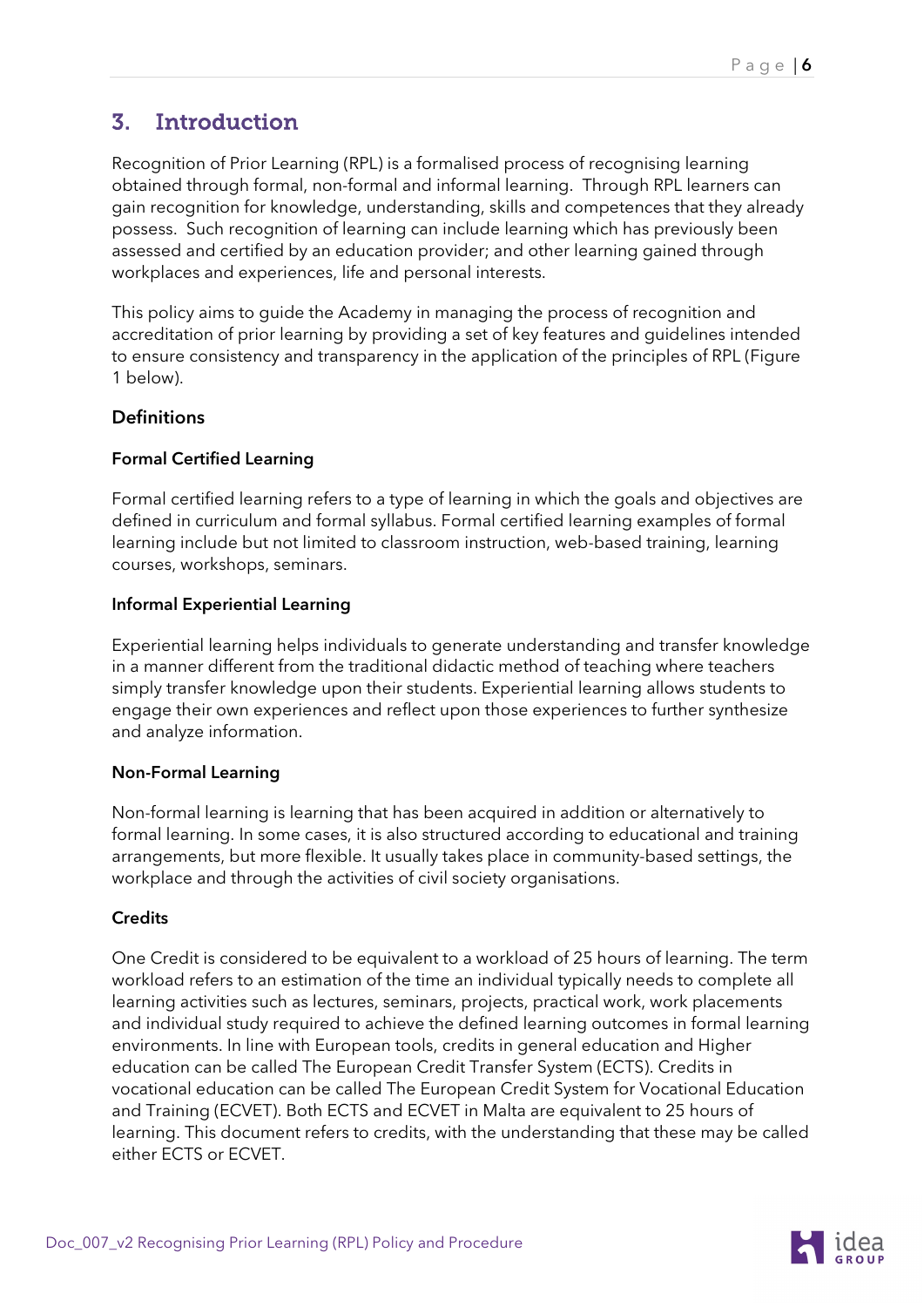## <span id="page-6-0"></span>3. Introduction

Recognition of Prior Learning (RPL) is a formalised process of recognising learning obtained through formal, non-formal and informal learning. Through RPL learners can gain recognition for knowledge, understanding, skills and competences that they already possess. Such recognition of learning can include learning which has previously been assessed and certified by an education provider; and other learning gained through workplaces and experiences, life and personal interests.

This policy aims to guide the Academy in managing the process of recognition and accreditation of prior learning by providing a set of key features and guidelines intended to ensure consistency and transparency in the application of the principles of RPL (Figure 1 below).

#### <span id="page-6-1"></span>**Definitions**

#### Formal Certified Learning

Formal certified learning refers to a type of learning in which the goals and objectives are defined in curriculum and formal syllabus. Formal certified learning examples of formal learning include but not limited to classroom instruction, web-based training, learning courses, workshops, seminars.

#### Informal Experiential Learning

Experiential learning helps individuals to generate understanding and transfer knowledge in a manner different from the traditional didactic method of teaching where teachers simply transfer knowledge upon their students. Experiential learning allows students to engage their own experiences and reflect upon those experiences to further synthesize and analyze information.

#### Non-Formal Learning

Non-formal learning is learning that has been acquired in addition or alternatively to formal learning. In some cases, it is also structured according to educational and training arrangements, but more flexible. It usually takes place in community-based settings, the workplace and through the activities of civil society organisations.

#### **Credits**

One Credit is considered to be equivalent to a workload of 25 hours of learning. The term workload refers to an estimation of the time an individual typically needs to complete all learning activities such as lectures, seminars, projects, practical work, work placements and individual study required to achieve the defined learning outcomes in formal learning environments. In line with European tools, credits in general education and Higher education can be called The European Credit Transfer System (ECTS). Credits in vocational education can be called The European Credit System for Vocational Education and Training (ECVET). Both ECTS and ECVET in Malta are equivalent to 25 hours of learning. This document refers to credits, with the understanding that these may be called either ECTS or ECVET.

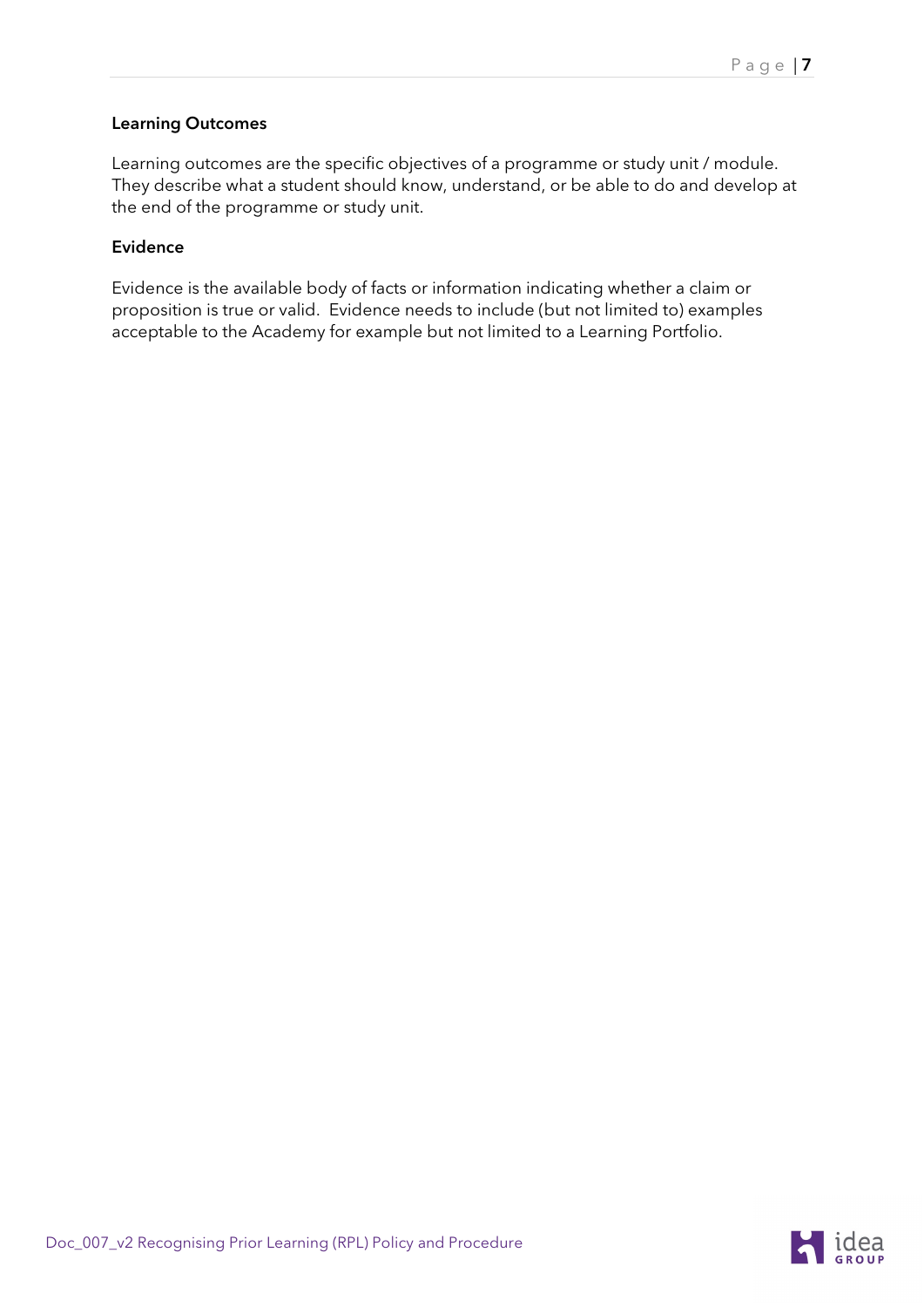#### Learning Outcomes

Learning outcomes are the specific objectives of a programme or study unit / module. They describe what a student should know, understand, or be able to do and develop at the end of the programme or study unit.

#### Evidence

Evidence is the available body of facts or information indicating whether a claim or proposition is true or valid. Evidence needs to include (but not limited to) examples acceptable to the Academy for example but not limited to a Learning Portfolio.

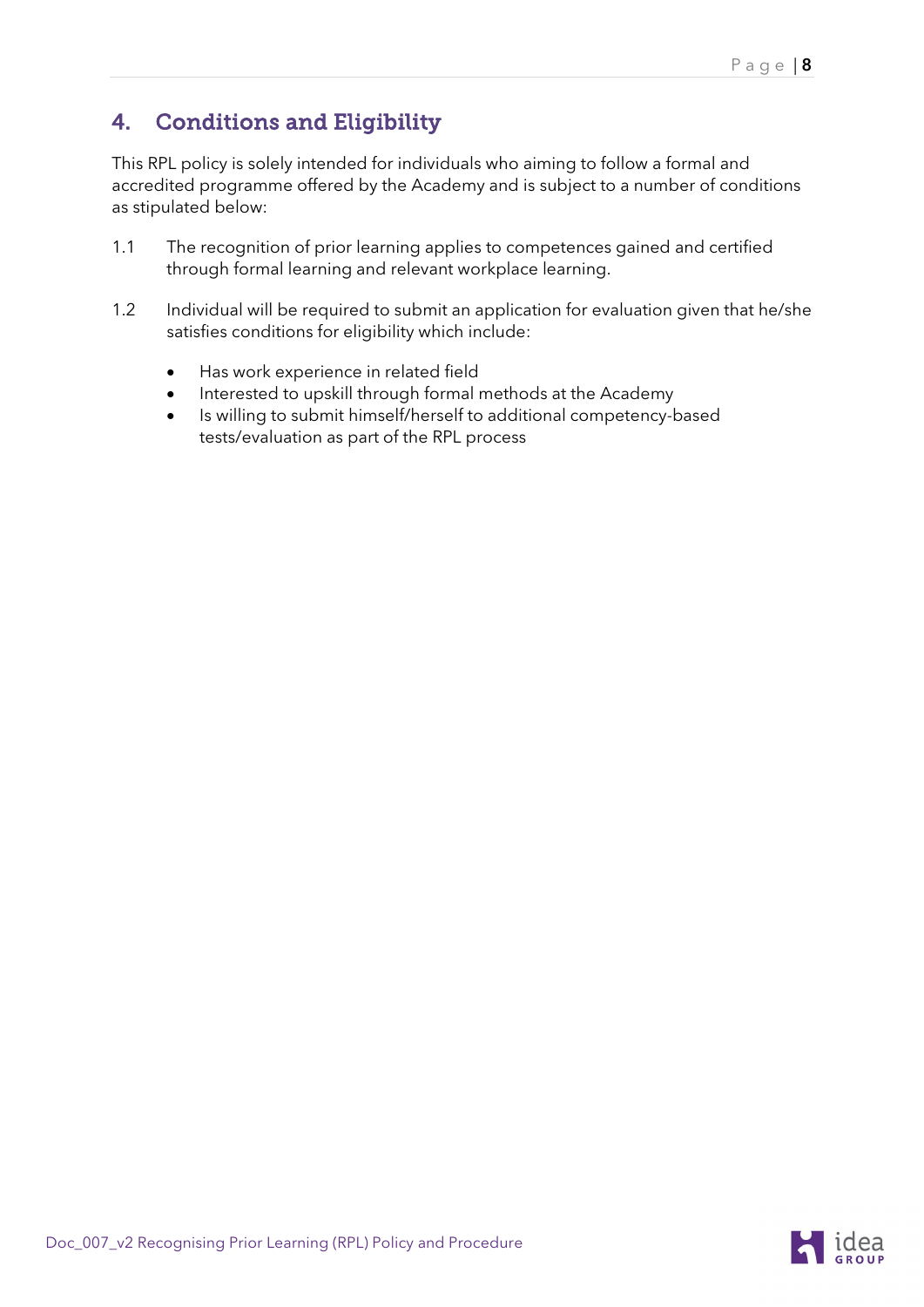## <span id="page-8-0"></span>4. Conditions and Eligibility

This RPL policy is solely intended for individuals who aiming to follow a formal and accredited programme offered by the Academy and is subject to a number of conditions as stipulated below:

- 1.1 The recognition of prior learning applies to competences gained and certified through formal learning and relevant workplace learning.
- 1.2 Individual will be required to submit an application for evaluation given that he/she satisfies conditions for eligibility which include:
	- Has work experience in related field
	- Interested to upskill through formal methods at the Academy
	- Is willing to submit himself/herself to additional competency-based tests/evaluation as part of the RPL process

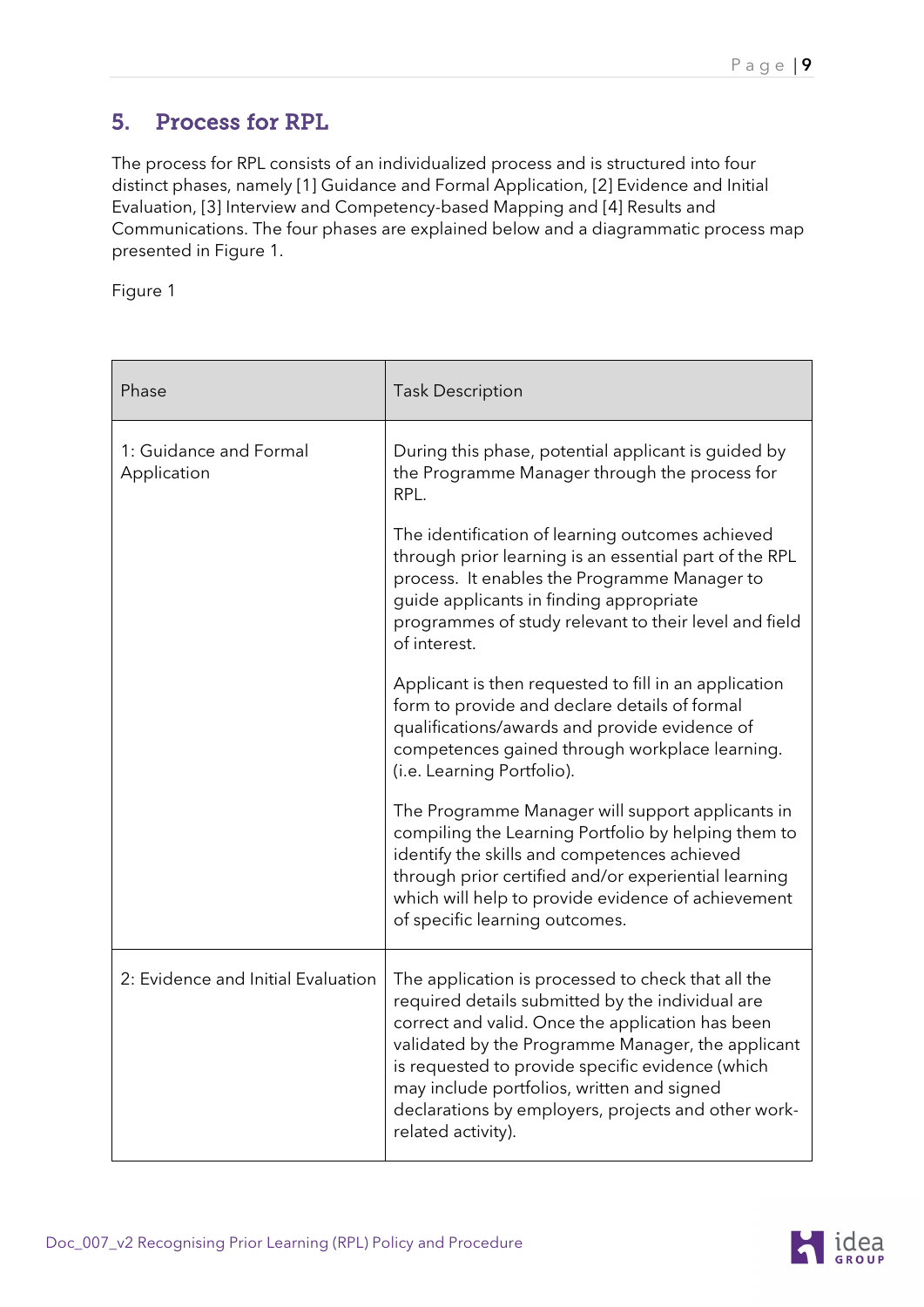### <span id="page-9-0"></span>5. Process for RPL

The process for RPL consists of an individualized process and is structured into four distinct phases, namely [1] Guidance and Formal Application, [2] Evidence and Initial Evaluation, [3] Interview and Competency-based Mapping and [4] Results and Communications. The four phases are explained below and a diagrammatic process map presented in Figure 1.

Figure 1

| Phase                                 | <b>Task Description</b>                                                                                                                                                                                                                                                                                                                                                                        |  |  |
|---------------------------------------|------------------------------------------------------------------------------------------------------------------------------------------------------------------------------------------------------------------------------------------------------------------------------------------------------------------------------------------------------------------------------------------------|--|--|
| 1: Guidance and Formal<br>Application | During this phase, potential applicant is guided by<br>the Programme Manager through the process for<br>RPL.                                                                                                                                                                                                                                                                                   |  |  |
|                                       | The identification of learning outcomes achieved<br>through prior learning is an essential part of the RPL<br>process. It enables the Programme Manager to<br>guide applicants in finding appropriate<br>programmes of study relevant to their level and field<br>of interest.                                                                                                                 |  |  |
|                                       | Applicant is then requested to fill in an application<br>form to provide and declare details of formal<br>qualifications/awards and provide evidence of<br>competences gained through workplace learning.<br>(i.e. Learning Portfolio).                                                                                                                                                        |  |  |
|                                       | The Programme Manager will support applicants in<br>compiling the Learning Portfolio by helping them to<br>identify the skills and competences achieved<br>through prior certified and/or experiential learning<br>which will help to provide evidence of achievement<br>of specific learning outcomes.                                                                                        |  |  |
| 2: Evidence and Initial Evaluation    | The application is processed to check that all the<br>required details submitted by the individual are<br>correct and valid. Once the application has been<br>validated by the Programme Manager, the applicant<br>is requested to provide specific evidence (which<br>may include portfolios, written and signed<br>declarations by employers, projects and other work-<br>related activity). |  |  |

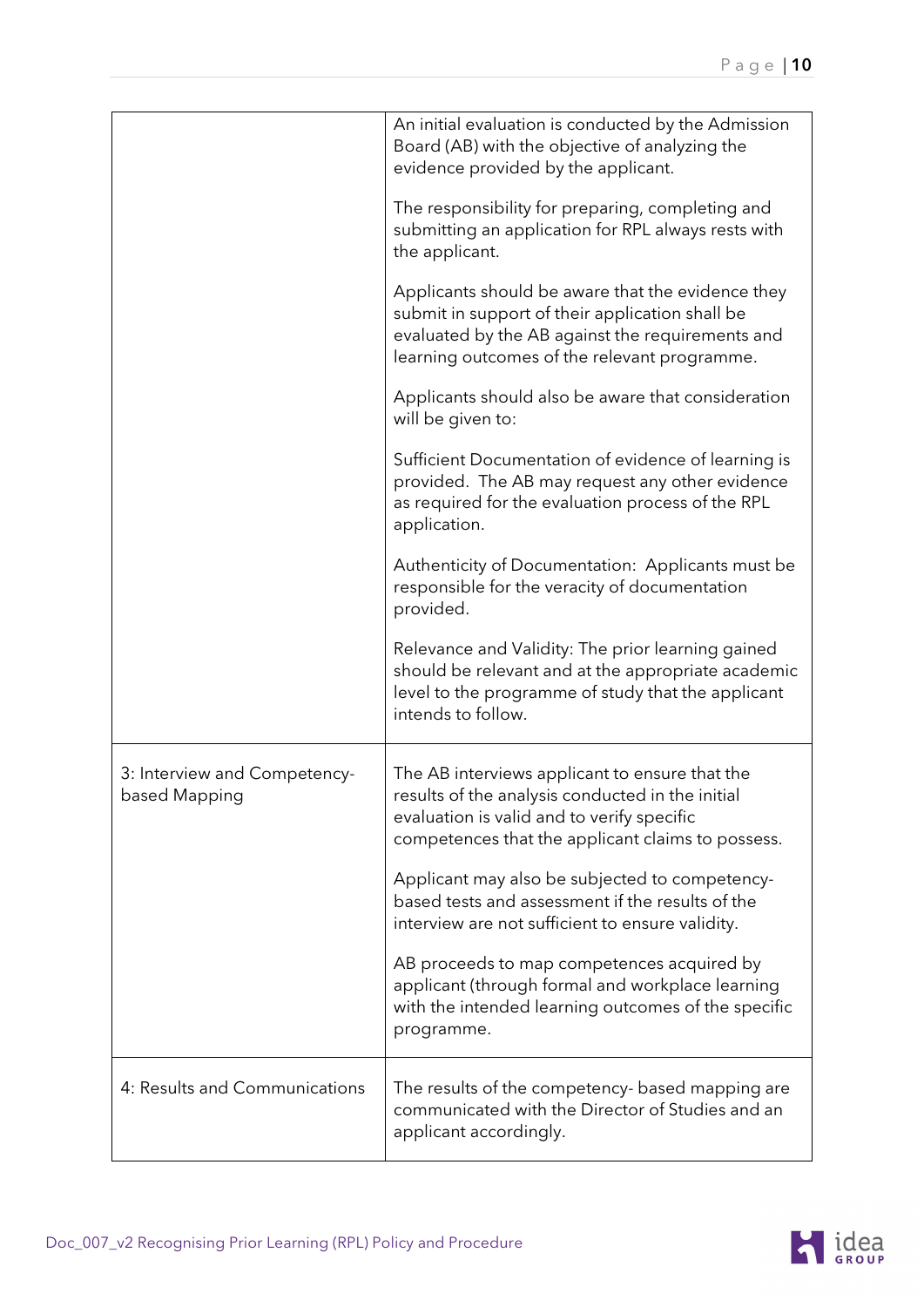|                                               | An initial evaluation is conducted by the Admission<br>Board (AB) with the objective of analyzing the<br>evidence provided by the applicant.<br>The responsibility for preparing, completing and<br>submitting an application for RPL always rests with<br>the applicant.<br>Applicants should be aware that the evidence they<br>submit in support of their application shall be<br>evaluated by the AB against the requirements and<br>learning outcomes of the relevant programme.<br>Applicants should also be aware that consideration |
|-----------------------------------------------|---------------------------------------------------------------------------------------------------------------------------------------------------------------------------------------------------------------------------------------------------------------------------------------------------------------------------------------------------------------------------------------------------------------------------------------------------------------------------------------------------------------------------------------------|
|                                               | will be given to:<br>Sufficient Documentation of evidence of learning is<br>provided. The AB may request any other evidence<br>as required for the evaluation process of the RPL<br>application.                                                                                                                                                                                                                                                                                                                                            |
|                                               | Authenticity of Documentation: Applicants must be<br>responsible for the veracity of documentation<br>provided.                                                                                                                                                                                                                                                                                                                                                                                                                             |
|                                               | Relevance and Validity: The prior learning gained<br>should be relevant and at the appropriate academic<br>level to the programme of study that the applicant<br>intends to follow.                                                                                                                                                                                                                                                                                                                                                         |
| 3: Interview and Competency-<br>based Mapping | The AB interviews applicant to ensure that the<br>results of the analysis conducted in the initial<br>evaluation is valid and to verify specific<br>competences that the applicant claims to possess.                                                                                                                                                                                                                                                                                                                                       |
|                                               | Applicant may also be subjected to competency-<br>based tests and assessment if the results of the<br>interview are not sufficient to ensure validity.                                                                                                                                                                                                                                                                                                                                                                                      |
|                                               | AB proceeds to map competences acquired by<br>applicant (through formal and workplace learning<br>with the intended learning outcomes of the specific<br>programme.                                                                                                                                                                                                                                                                                                                                                                         |
| 4: Results and Communications                 | The results of the competency- based mapping are<br>communicated with the Director of Studies and an<br>applicant accordingly.                                                                                                                                                                                                                                                                                                                                                                                                              |

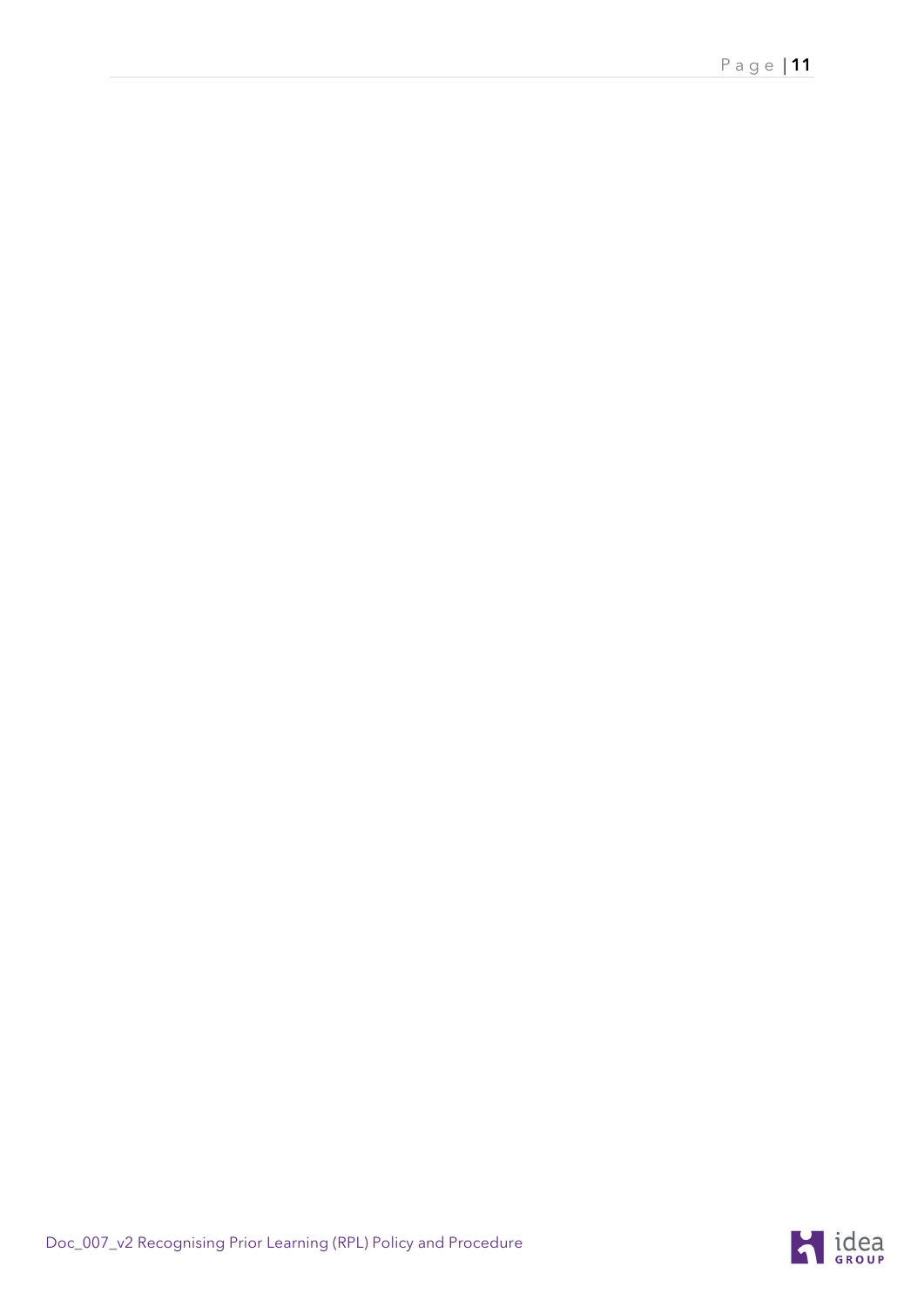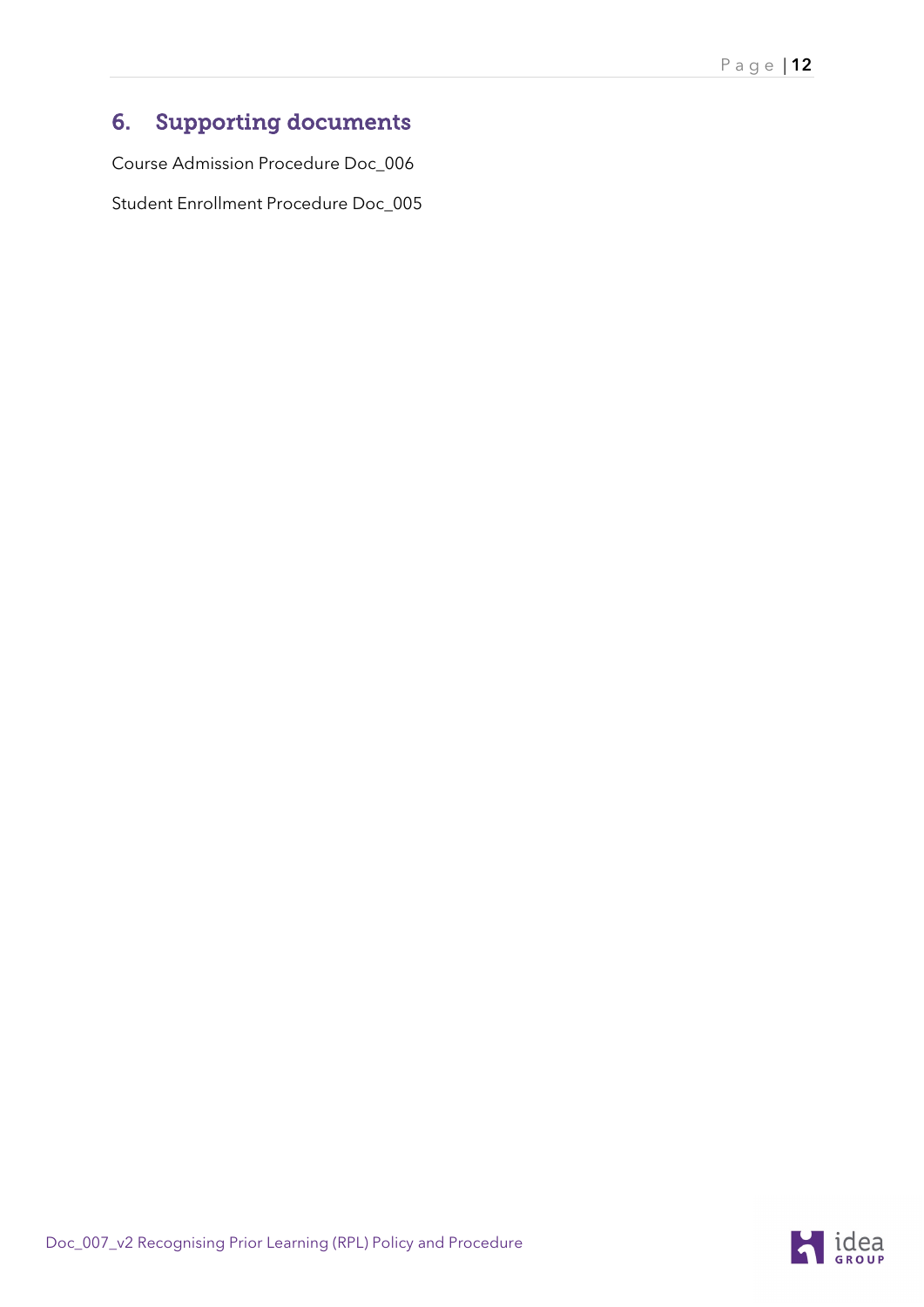## <span id="page-12-0"></span>6. Supporting documents

Course Admission Procedure Doc\_006

Student Enrollment Procedure Doc\_005